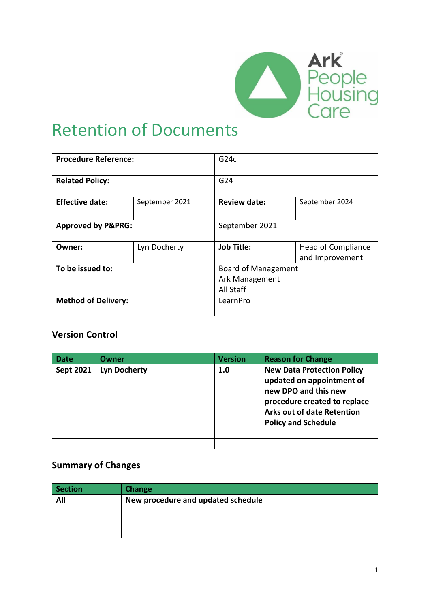

## Retention of Documents

| <b>Procedure Reference:</b>   |                | G24c                       |                                              |  |
|-------------------------------|----------------|----------------------------|----------------------------------------------|--|
| <b>Related Policy:</b>        |                | G <sub>24</sub>            |                                              |  |
| <b>Effective date:</b>        | September 2021 | <b>Review date:</b>        | September 2024                               |  |
| <b>Approved by P&amp;PRG:</b> |                | September 2021             |                                              |  |
| Owner:                        | Lyn Docherty   | <b>Job Title:</b>          | <b>Head of Compliance</b><br>and Improvement |  |
| To be issued to:              |                | <b>Board of Management</b> |                                              |  |
|                               |                | Ark Management             |                                              |  |
|                               |                | All Staff                  |                                              |  |
| <b>Method of Delivery:</b>    |                | LearnPro                   |                                              |  |

#### **Version Control**

| Date      | Owner               | <b>Version</b> | <b>Reason for Change</b>                                                                                                                                                                  |
|-----------|---------------------|----------------|-------------------------------------------------------------------------------------------------------------------------------------------------------------------------------------------|
| Sept 2021 | <b>Lyn Docherty</b> | 1.0            | <b>New Data Protection Policy</b><br>updated on appointment of<br>new DPO and this new<br>procedure created to replace<br><b>Arks out of date Retention</b><br><b>Policy and Schedule</b> |
|           |                     |                |                                                                                                                                                                                           |
|           |                     |                |                                                                                                                                                                                           |

#### **Summary of Changes**

| Section | Change                             |
|---------|------------------------------------|
| All     | New procedure and updated schedule |
|         |                                    |
|         |                                    |
|         |                                    |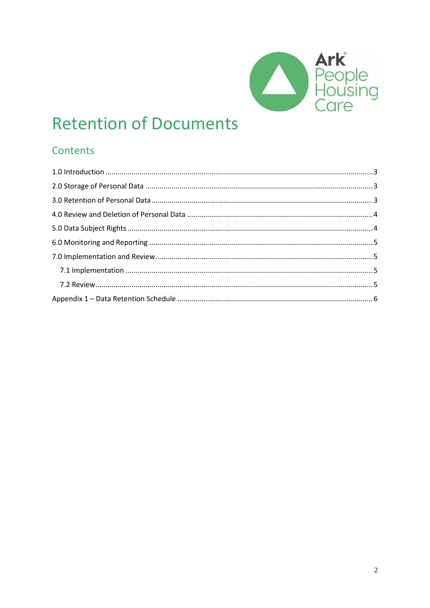

# **Retention of Documents**

## Contents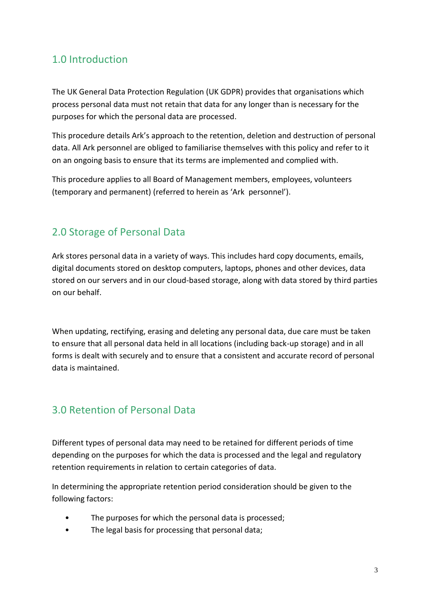#### <span id="page-2-0"></span>1.0 Introduction

The UK General Data Protection Regulation (UK GDPR) provides that organisations which process personal data must not retain that data for any longer than is necessary for the purposes for which the personal data are processed.

This procedure details Ark's approach to the retention, deletion and destruction of personal data. All Ark personnel are obliged to familiarise themselves with this policy and refer to it on an ongoing basis to ensure that its terms are implemented and complied with.

This procedure applies to all Board of Management members, employees, volunteers (temporary and permanent) (referred to herein as 'Ark personnel').

#### <span id="page-2-1"></span>2.0 Storage of Personal Data

Ark stores personal data in a variety of ways. This includes hard copy documents, emails, digital documents stored on desktop computers, laptops, phones and other devices, data stored on our servers and in our cloud-based storage, along with data stored by third parties on our behalf.

When updating, rectifying, erasing and deleting any personal data, due care must be taken to ensure that all personal data held in all locations (including back-up storage) and in all forms is dealt with securely and to ensure that a consistent and accurate record of personal data is maintained.

### <span id="page-2-2"></span>3.0 Retention of Personal Data

Different types of personal data may need to be retained for different periods of time depending on the purposes for which the data is processed and the legal and regulatory retention requirements in relation to certain categories of data.

In determining the appropriate retention period consideration should be given to the following factors:

- The purposes for which the personal data is processed;
- The legal basis for processing that personal data;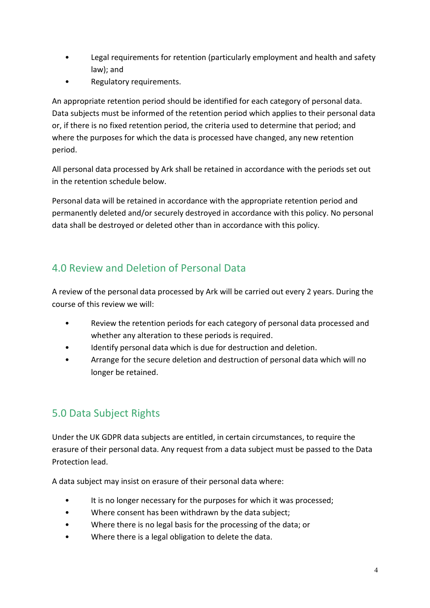- Legal requirements for retention (particularly employment and health and safety law); and
- Regulatory requirements.

An appropriate retention period should be identified for each category of personal data. Data subjects must be informed of the retention period which applies to their personal data or, if there is no fixed retention period, the criteria used to determine that period; and where the purposes for which the data is processed have changed, any new retention period.

All personal data processed by Ark shall be retained in accordance with the periods set out in the retention schedule below.

Personal data will be retained in accordance with the appropriate retention period and permanently deleted and/or securely destroyed in accordance with this policy. No personal data shall be destroyed or deleted other than in accordance with this policy.

### <span id="page-3-0"></span>4.0 Review and Deletion of Personal Data

A review of the personal data processed by Ark will be carried out every 2 years. During the course of this review we will:

- Review the retention periods for each category of personal data processed and whether any alteration to these periods is required.
- Identify personal data which is due for destruction and deletion.
- Arrange for the secure deletion and destruction of personal data which will no longer be retained.

## <span id="page-3-1"></span>5.0 Data Subject Rights

Under the UK GDPR data subjects are entitled, in certain circumstances, to require the erasure of their personal data. Any request from a data subject must be passed to the Data Protection lead.

A data subject may insist on erasure of their personal data where:

- It is no longer necessary for the purposes for which it was processed;
- Where consent has been withdrawn by the data subject;
- Where there is no legal basis for the processing of the data; or
- Where there is a legal obligation to delete the data.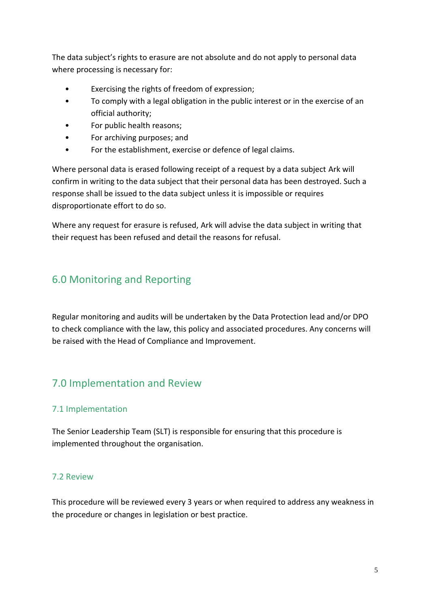The data subject's rights to erasure are not absolute and do not apply to personal data where processing is necessary for:

- Exercising the rights of freedom of expression;
- To comply with a legal obligation in the public interest or in the exercise of an official authority;
- For public health reasons;
- For archiving purposes; and
- For the establishment, exercise or defence of legal claims.

Where personal data is erased following receipt of a request by a data subject Ark will confirm in writing to the data subject that their personal data has been destroyed. Such a response shall be issued to the data subject unless it is impossible or requires disproportionate effort to do so.

Where any request for erasure is refused, Ark will advise the data subject in writing that their request has been refused and detail the reasons for refusal.

#### <span id="page-4-0"></span>6.0 Monitoring and Reporting

Regular monitoring and audits will be undertaken by the Data Protection lead and/or DPO to check compliance with the law, this policy and associated procedures. Any concerns will be raised with the Head of Compliance and Improvement.

### <span id="page-4-1"></span>7.0 Implementation and Review

#### <span id="page-4-2"></span>7.1 Implementation

The Senior Leadership Team (SLT) is responsible for ensuring that this procedure is implemented throughout the organisation.

#### <span id="page-4-3"></span>7.2 Review

This procedure will be reviewed every 3 years or when required to address any weakness in the procedure or changes in legislation or best practice.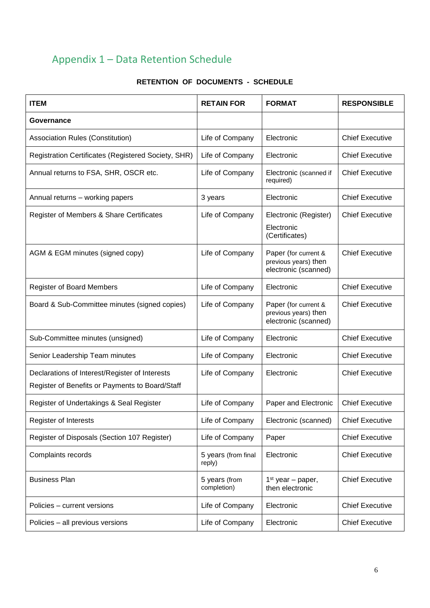## <span id="page-5-0"></span>Appendix 1 – Data Retention Schedule

| <b>ITEM</b>                                                                                       | <b>RETAIN FOR</b>             | <b>FORMAT</b>                                                        | <b>RESPONSIBLE</b>     |
|---------------------------------------------------------------------------------------------------|-------------------------------|----------------------------------------------------------------------|------------------------|
| Governance                                                                                        |                               |                                                                      |                        |
| <b>Association Rules (Constitution)</b>                                                           | Life of Company               | Electronic                                                           | <b>Chief Executive</b> |
| Registration Certificates (Registered Society, SHR)                                               | Life of Company               | Electronic                                                           | <b>Chief Executive</b> |
| Annual returns to FSA, SHR, OSCR etc.                                                             | Life of Company               | Electronic (scanned if<br>required)                                  | <b>Chief Executive</b> |
| Annual returns - working papers                                                                   | 3 years                       | Electronic                                                           | <b>Chief Executive</b> |
| Register of Members & Share Certificates                                                          | Life of Company               | Electronic (Register)<br>Electronic<br>(Certificates)                | <b>Chief Executive</b> |
| AGM & EGM minutes (signed copy)                                                                   | Life of Company               | Paper (for current &<br>previous years) then<br>electronic (scanned) | <b>Chief Executive</b> |
| <b>Register of Board Members</b>                                                                  | Life of Company               | Electronic                                                           | <b>Chief Executive</b> |
| Board & Sub-Committee minutes (signed copies)                                                     | Life of Company               | Paper (for current &<br>previous years) then<br>electronic (scanned) | <b>Chief Executive</b> |
| Sub-Committee minutes (unsigned)                                                                  | Life of Company               | Electronic                                                           | <b>Chief Executive</b> |
| Senior Leadership Team minutes                                                                    | Life of Company               | Electronic                                                           | <b>Chief Executive</b> |
| Declarations of Interest/Register of Interests<br>Register of Benefits or Payments to Board/Staff | Life of Company               | Electronic                                                           | <b>Chief Executive</b> |
| Register of Undertakings & Seal Register                                                          | Life of Company               | Paper and Electronic                                                 | <b>Chief Executive</b> |
| <b>Register of Interests</b>                                                                      | Life of Company               | Electronic (scanned)                                                 | <b>Chief Executive</b> |
| Register of Disposals (Section 107 Register)                                                      | Life of Company               | Paper                                                                | <b>Chief Executive</b> |
| Complaints records                                                                                | 5 years (from final<br>reply) | Electronic                                                           | <b>Chief Executive</b> |
| <b>Business Plan</b>                                                                              | 5 years (from<br>completion)  | $1st$ year – paper,<br>then electronic                               | <b>Chief Executive</b> |
| Policies – current versions                                                                       | Life of Company               | Electronic                                                           | <b>Chief Executive</b> |
| Policies - all previous versions                                                                  | Life of Company               | Electronic                                                           | <b>Chief Executive</b> |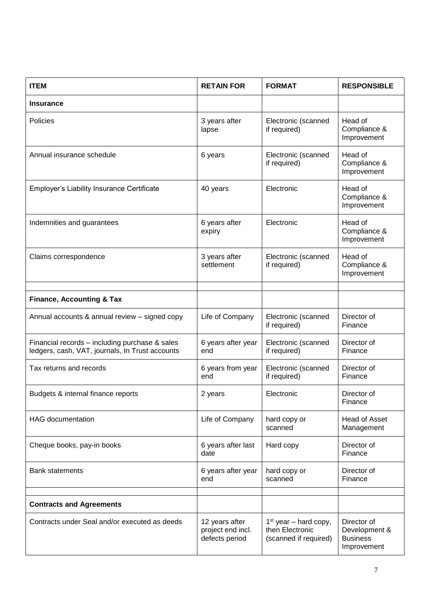| <b>ITEM</b>                                                                                       | <b>RETAIN FOR</b>                                     | <b>FORMAT</b>                                                       | <b>RESPONSIBLE</b>                                             |
|---------------------------------------------------------------------------------------------------|-------------------------------------------------------|---------------------------------------------------------------------|----------------------------------------------------------------|
| <b>Insurance</b>                                                                                  |                                                       |                                                                     |                                                                |
| Policies                                                                                          | 3 years after<br>lapse                                | Electronic (scanned<br>if required)                                 | Head of<br>Compliance &<br>Improvement                         |
| Annual insurance schedule                                                                         | 6 years                                               | Electronic (scanned<br>if required)                                 | Head of<br>Compliance &<br>Improvement                         |
| Employer's Liability Insurance Certificate                                                        | 40 years                                              | Electronic                                                          | Head of<br>Compliance &<br>Improvement                         |
| Indemnities and guarantees                                                                        | 6 years after<br>expiry                               | Electronic                                                          | Head of<br>Compliance &<br>Improvement                         |
| Claims correspondence                                                                             | 3 years after<br>settlement                           | Electronic (scanned<br>if required)                                 | Head of<br>Compliance &<br>Improvement                         |
|                                                                                                   |                                                       |                                                                     |                                                                |
| <b>Finance, Accounting &amp; Tax</b>                                                              |                                                       |                                                                     |                                                                |
| Annual accounts & annual review - signed copy                                                     | Life of Company                                       | Electronic (scanned<br>if required)                                 | Director of<br>Finance                                         |
| Financial records - including purchase & sales<br>ledgers, cash, VAT, journals, In Trust accounts | 6 years after year<br>end                             | Electronic (scanned<br>if required)                                 | Director of<br>Finance                                         |
| Tax returns and records                                                                           | 6 years from year<br>end                              | Electronic (scanned<br>if required)                                 | Director of<br>Finance                                         |
| Budgets & internal finance reports                                                                | 2 years                                               | Electronic                                                          | Director of<br>Finance                                         |
| <b>HAG</b> documentation                                                                          | Life of Company                                       | hard copy or<br>scanned                                             | Head of Asset<br>Management                                    |
| Cheque books, pay-in books                                                                        | 6 years after last<br>date                            | Hard copy                                                           | Director of<br>Finance                                         |
| <b>Bank statements</b>                                                                            | 6 years after year<br>end                             | hard copy or<br>scanned                                             | Director of<br>Finance                                         |
|                                                                                                   |                                                       |                                                                     |                                                                |
| <b>Contracts and Agreements</b>                                                                   |                                                       |                                                                     |                                                                |
| Contracts under Seal and/or executed as deeds                                                     | 12 years after<br>project end incl.<br>defects period | $1st$ year – hard copy,<br>then Electronic<br>(scanned if required) | Director of<br>Development &<br><b>Business</b><br>Improvement |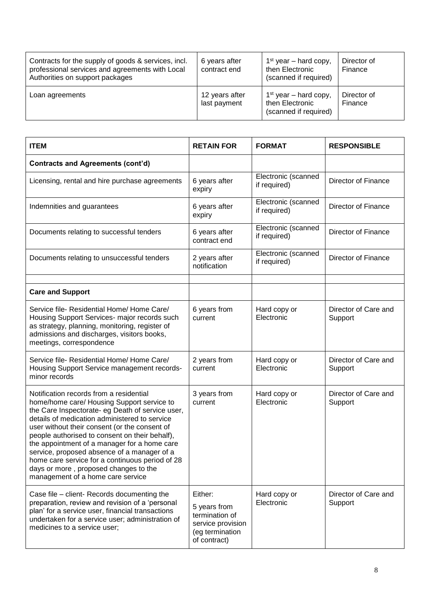| Contracts for the supply of goods & services, incl.<br>professional services and agreements with Local<br>Authorities on support packages | 6 years after<br>contract end  | $1st$ year – hard copy,<br>then Electronic<br>(scanned if required) | Director of<br>Finance |
|-------------------------------------------------------------------------------------------------------------------------------------------|--------------------------------|---------------------------------------------------------------------|------------------------|
| Loan agreements                                                                                                                           | 12 years after<br>last payment | $1st$ year – hard copy,<br>then Electronic<br>(scanned if required) | Director of<br>Finance |

| <b>ITEM</b>                                                                                                                                                                                                                                                                                                                                                                                                                                                                                                                   | <b>RETAIN FOR</b>                                                                                 | <b>FORMAT</b>                       | <b>RESPONSIBLE</b>              |
|-------------------------------------------------------------------------------------------------------------------------------------------------------------------------------------------------------------------------------------------------------------------------------------------------------------------------------------------------------------------------------------------------------------------------------------------------------------------------------------------------------------------------------|---------------------------------------------------------------------------------------------------|-------------------------------------|---------------------------------|
| <b>Contracts and Agreements (cont'd)</b>                                                                                                                                                                                                                                                                                                                                                                                                                                                                                      |                                                                                                   |                                     |                                 |
| Licensing, rental and hire purchase agreements                                                                                                                                                                                                                                                                                                                                                                                                                                                                                | 6 years after<br>expiry                                                                           | Electronic (scanned<br>if required) | <b>Director of Finance</b>      |
| Indemnities and guarantees                                                                                                                                                                                                                                                                                                                                                                                                                                                                                                    | 6 years after<br>expiry                                                                           | Electronic (scanned<br>if required) | Director of Finance             |
| Documents relating to successful tenders                                                                                                                                                                                                                                                                                                                                                                                                                                                                                      | 6 years after<br>contract end                                                                     | Electronic (scanned<br>if required) | Director of Finance             |
| Documents relating to unsuccessful tenders                                                                                                                                                                                                                                                                                                                                                                                                                                                                                    | 2 years after<br>notification                                                                     | Electronic (scanned<br>if required) | <b>Director of Finance</b>      |
|                                                                                                                                                                                                                                                                                                                                                                                                                                                                                                                               |                                                                                                   |                                     |                                 |
| <b>Care and Support</b>                                                                                                                                                                                                                                                                                                                                                                                                                                                                                                       |                                                                                                   |                                     |                                 |
| Service file- Residential Home/ Home Care/<br>Housing Support Services- major records such<br>as strategy, planning, monitoring, register of<br>admissions and discharges, visitors books,<br>meetings, correspondence                                                                                                                                                                                                                                                                                                        | 6 years from<br>current                                                                           | Hard copy or<br>Electronic          | Director of Care and<br>Support |
| Service file- Residential Home/ Home Care/<br>Housing Support Service management records-<br>minor records                                                                                                                                                                                                                                                                                                                                                                                                                    | 2 years from<br>current                                                                           | Hard copy or<br>Electronic          | Director of Care and<br>Support |
| Notification records from a residential<br>home/home care/ Housing Support service to<br>the Care Inspectorate- eg Death of service user,<br>details of medication administered to service<br>user without their consent (or the consent of<br>people authorised to consent on their behalf),<br>the appointment of a manager for a home care<br>service, proposed absence of a manager of a<br>home care service for a continuous period of 28<br>days or more, proposed changes to the<br>management of a home care service | 3 years from<br>current                                                                           | Hard copy or<br>Electronic          | Director of Care and<br>Support |
| Case file - client- Records documenting the<br>preparation, review and revision of a 'personal<br>plan' for a service user, financial transactions<br>undertaken for a service user; administration of<br>medicines to a service user;                                                                                                                                                                                                                                                                                        | Either:<br>5 years from<br>termination of<br>service provision<br>(eg termination<br>of contract) | Hard copy or<br>Electronic          | Director of Care and<br>Support |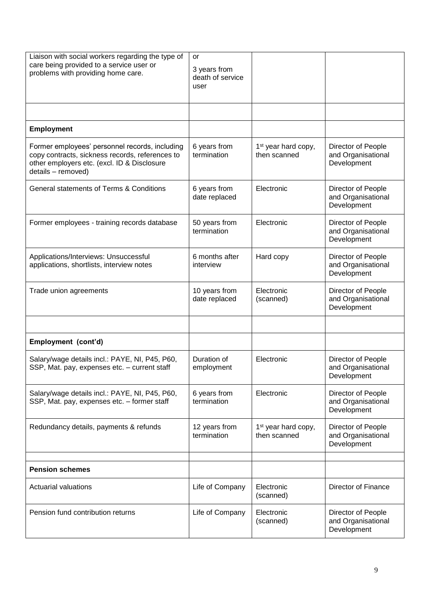| Liaison with social workers regarding the type of<br>care being provided to a service user or<br>problems with providing home care.                                    | or<br>3 years from<br>death of service<br>user |                                                 |                                                         |
|------------------------------------------------------------------------------------------------------------------------------------------------------------------------|------------------------------------------------|-------------------------------------------------|---------------------------------------------------------|
|                                                                                                                                                                        |                                                |                                                 |                                                         |
| <b>Employment</b>                                                                                                                                                      |                                                |                                                 |                                                         |
| Former employees' personnel records, including<br>copy contracts, sickness records, references to<br>other employers etc. (excl. ID & Disclosure<br>details - removed) | 6 years from<br>termination                    | 1 <sup>st</sup> year hard copy,<br>then scanned | Director of People<br>and Organisational<br>Development |
| General statements of Terms & Conditions                                                                                                                               | 6 years from<br>date replaced                  | Electronic                                      | Director of People<br>and Organisational<br>Development |
| Former employees - training records database                                                                                                                           | 50 years from<br>termination                   | Electronic                                      | Director of People<br>and Organisational<br>Development |
| Applications/Interviews: Unsuccessful<br>applications, shortlists, interview notes                                                                                     | 6 months after<br>interview                    | Hard copy                                       | Director of People<br>and Organisational<br>Development |
| Trade union agreements                                                                                                                                                 | 10 years from<br>date replaced                 | Electronic<br>(scanned)                         | Director of People<br>and Organisational<br>Development |
|                                                                                                                                                                        |                                                |                                                 |                                                         |
| Employment (cont'd)                                                                                                                                                    |                                                |                                                 |                                                         |
| Salary/wage details incl.: PAYE, NI, P45, P60,<br>SSP, Mat. pay, expenses etc. - current staff                                                                         | Duration of<br>employment                      | Electronic                                      | Director of People<br>and Organisational<br>Development |
| Salary/wage details incl.: PAYE, NI, P45, P60,<br>SSP, Mat. pay, expenses etc. - former staff                                                                          | 6 years from<br>termination                    | Electronic                                      | Director of People<br>and Organisational<br>Development |
| Redundancy details, payments & refunds                                                                                                                                 | 12 years from<br>termination                   | 1 <sup>st</sup> year hard copy,<br>then scanned | Director of People<br>and Organisational<br>Development |
|                                                                                                                                                                        |                                                |                                                 |                                                         |
| <b>Pension schemes</b>                                                                                                                                                 |                                                |                                                 |                                                         |
| <b>Actuarial valuations</b>                                                                                                                                            | Life of Company                                | Electronic<br>(scanned)                         | Director of Finance                                     |
| Pension fund contribution returns                                                                                                                                      | Life of Company                                | Electronic<br>(scanned)                         | Director of People<br>and Organisational<br>Development |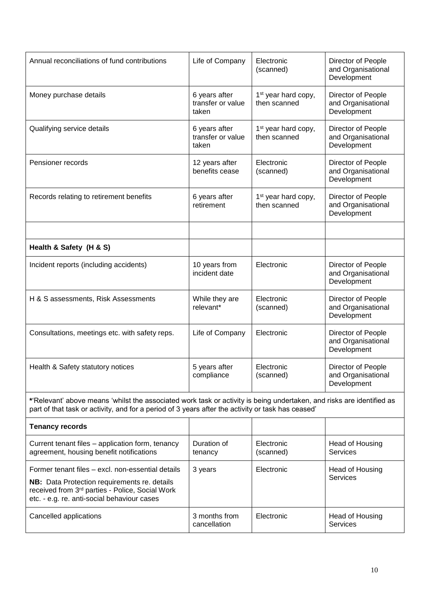| Annual reconciliations of fund contributions                                                                                                                                                                               | Life of Company                             | Electronic<br>(scanned)                         | Director of People<br>and Organisational<br>Development |
|----------------------------------------------------------------------------------------------------------------------------------------------------------------------------------------------------------------------------|---------------------------------------------|-------------------------------------------------|---------------------------------------------------------|
| Money purchase details                                                                                                                                                                                                     | 6 years after<br>transfer or value<br>taken | 1 <sup>st</sup> year hard copy,<br>then scanned | Director of People<br>and Organisational<br>Development |
| Qualifying service details                                                                                                                                                                                                 | 6 years after<br>transfer or value<br>taken | 1 <sup>st</sup> year hard copy,<br>then scanned | Director of People<br>and Organisational<br>Development |
| Pensioner records                                                                                                                                                                                                          | 12 years after<br>benefits cease            | Electronic<br>(scanned)                         | Director of People<br>and Organisational<br>Development |
| Records relating to retirement benefits                                                                                                                                                                                    | 6 years after<br>retirement                 | 1 <sup>st</sup> year hard copy,<br>then scanned | Director of People<br>and Organisational<br>Development |
|                                                                                                                                                                                                                            |                                             |                                                 |                                                         |
| Health & Safety (H & S)                                                                                                                                                                                                    |                                             |                                                 |                                                         |
| Incident reports (including accidents)                                                                                                                                                                                     | 10 years from<br>incident date              | Electronic                                      | Director of People<br>and Organisational<br>Development |
| H & S assessments, Risk Assessments                                                                                                                                                                                        | While they are<br>relevant*                 | Electronic<br>(scanned)                         | Director of People<br>and Organisational<br>Development |
| Consultations, meetings etc. with safety reps.                                                                                                                                                                             | Life of Company                             | Electronic                                      | Director of People<br>and Organisational<br>Development |
| Health & Safety statutory notices                                                                                                                                                                                          | 5 years after<br>compliance                 | Electronic<br>(scanned)                         | Director of People<br>and Organisational<br>Development |
| *'Relevant' above means 'whilst the associated work task or activity is being undertaken, and risks are identified as<br>part of that task or activity, and for a period of 3 years after the activity or task has ceased' |                                             |                                                 |                                                         |
| <b>Tenancy records</b>                                                                                                                                                                                                     |                                             |                                                 |                                                         |
| Current tenant files - application form, tenancy<br>agreement, housing benefit notifications                                                                                                                               | Duration of<br>tenancy                      | Electronic<br>(scanned)                         | Head of Housing<br><b>Services</b>                      |
| Former tenant files - excl. non-essential details<br>NB: Data Protection requirements re. details<br>received from 3rd parties - Police, Social Work<br>etc. - e.g. re. anti-social behaviour cases                        | 3 years                                     | Electronic                                      | Head of Housing<br><b>Services</b>                      |
| Cancelled applications                                                                                                                                                                                                     | 3 months from<br>cancellation               | Electronic                                      | Head of Housing<br>Services                             |